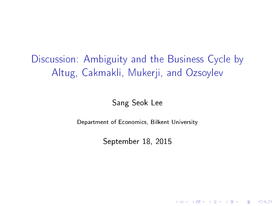Discussion: Ambiguity and the Business Cycle by Altug, Cakmakli, Mukerji, and Ozsoylev

Sang Seok Lee

Department of Economics, Bilkent University

September 18, 2015

**KORK STRAIN ABY COMPARI**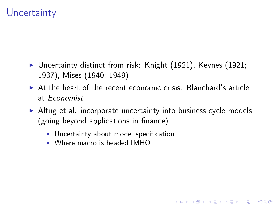## **Uncertainty**

- $\triangleright$  Uncertainty distinct from risk: Knight (1921), Keynes (1921; 1937), Mises (1940; 1949)
- $\triangleright$  At the heart of the recent economic crisis: Blanchard's article at Economist
- $\blacktriangleright$  Altug et al. incorporate uncertainty into business cycle models (going beyond applications in finance)

**KORK STRAIN ABY COMPARI** 

- $\blacktriangleright$  Uncertainty about model specification
- $\triangleright$  Where macro is headed IMHO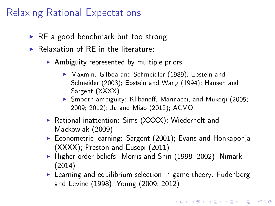## Relaxing Rational Expectations

- $\triangleright$  RE a good benchmark but too strong
- $\triangleright$  Relaxation of RE in the literature:
	- $\blacktriangleright$  Ambiguity represented by multiple priors
		- ▶ Maxmin: Gilboa and Schmeidler (1989), Epstein and Schneider (2003); Epstein and Wang (1994); Hansen and Sargent (XXXX)
		- ▶ Smooth ambiguity: Klibanoff, Marinacci, and Mukerji (2005; 2009; 2012); Ju and Miao (2012); ACMO
	- ▶ Rational inattention: Sims (XXXX); Wiederholt and Mackowiak (2009)
	- $\blacktriangleright$  Econometric learning: Sargent (2001); Evans and Honkapohja (XXXX); Preston and Eusepi (2011)
	- $\blacktriangleright$  Higher order beliefs: Morris and Shin (1998; 2002); Nimark (2014)
	- $\blacktriangleright$  Learning and equilibrium selection in game theory: Fudenberg and Levine (1998); Young (2009; 2012)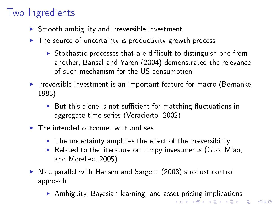## Two Ingredients

- $\triangleright$  Smooth ambiguity and irreversible investment
- $\blacktriangleright$  The source of uncertainty is productivity growth process
	- $\triangleright$  Stochastic processes that are difficult to distinguish one from another; Bansal and Yaron (2004) demonstrated the relevance of such mechanism for the US consumption
- $\blacktriangleright$  Irreversible investment is an important feature for macro (Bernanke, 1983)
	- $\triangleright$  But this alone is not sufficient for matching fluctuations in aggregate time series (Veracierto, 2002)
- $\blacktriangleright$  The intended outcome: wait and see
	- $\blacktriangleright$  The uncertainty amplifies the effect of the irreversibility
	- $\triangleright$  Related to the literature on lumpy investments (Guo, Miao, and Morellec, 2005)
- ▶ Nice parallel with Hansen and Sargent (2008)'s robust control approach
	- $\triangleright$  Ambiguity, Bayesian learning, and asset pricing implications K ロ ▶ K @ ▶ K 할 > K 할 > 1 할 > 1 ⊙ Q Q ^